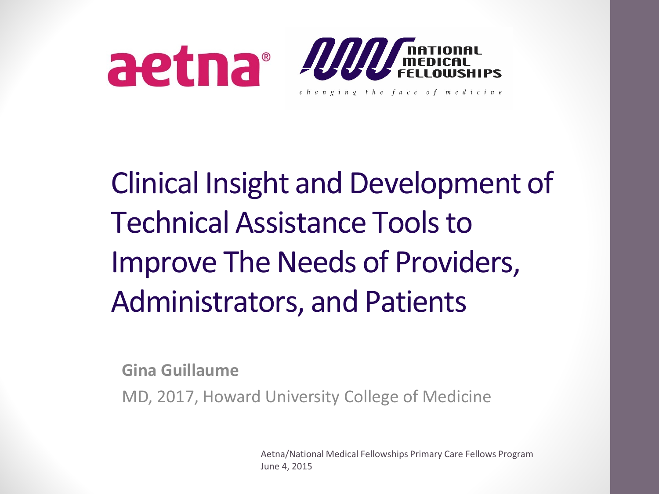

### Clinical Insight and Development of Technical Assistance Tools to Improve The Needs of Providers, Administrators, and Patients

**Gina Guillaume**

MD, 2017, Howard University College of Medicine

Aetna/National Medical Fellowships Primary Care Fellows Program June 4, 2015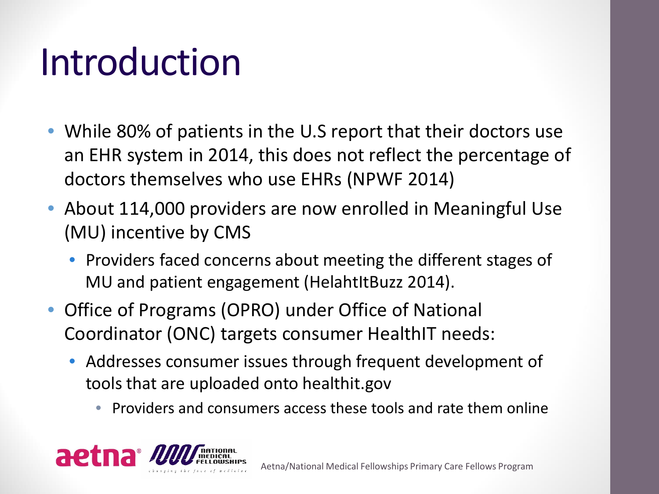### Introduction

- While 80% of patients in the U.S report that their doctors use an EHR system in 2014, this does not reflect the percentage of doctors themselves who use EHRs (NPWF 2014)
- About 114,000 providers are now enrolled in Meaningful Use (MU) incentive by CMS
	- Providers faced concerns about meeting the different stages of MU and patient engagement (HelahtItBuzz 2014).
- Office of Programs (OPRO) under Office of National Coordinator (ONC) targets consumer HealthIT needs:
	- Addresses consumer issues through frequent development of tools that are uploaded onto healthit.gov
		- Providers and consumers access these tools and rate them online

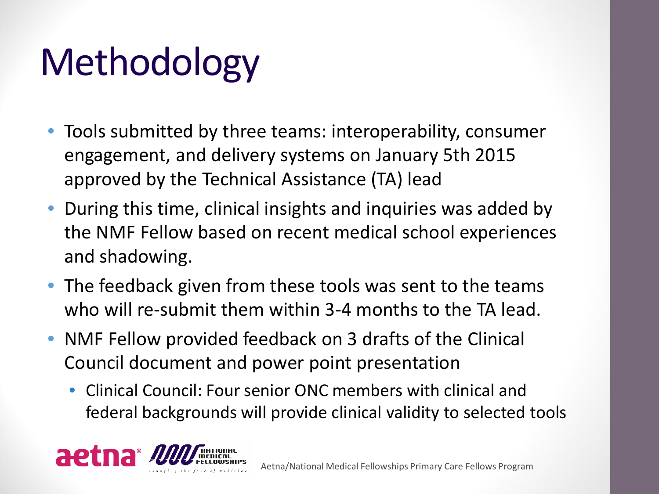# Methodology

- Tools submitted by three teams: interoperability, consumer engagement, and delivery systems on January 5th 2015 approved by the Technical Assistance (TA) lead
- During this time, clinical insights and inquiries was added by the NMF Fellow based on recent medical school experiences and shadowing.
- The feedback given from these tools was sent to the teams who will re-submit them within 3-4 months to the TA lead.
- NMF Fellow provided feedback on 3 drafts of the Clinical Council document and power point presentation
	- Clinical Council: Four senior ONC members with clinical and federal backgrounds will provide clinical validity to selected tools

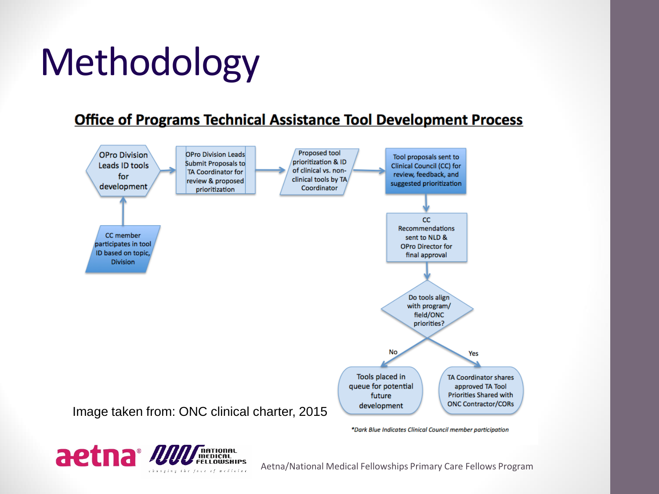# Methodology

#### **Office of Programs Technical Assistance Tool Development Process**



\*Dark Blue Indicates Clinical Council member participation



Aetna/National Medical Fellowships Primary Care Fellows Program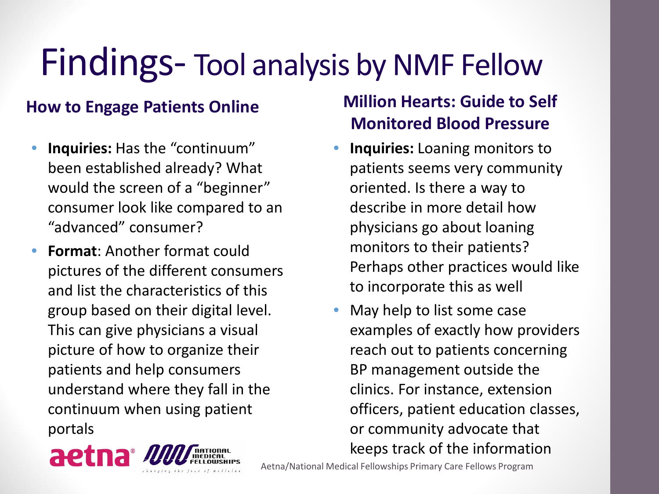### Findings- Tool analysis by NMF Fellow

#### **How to Engage Patients Online**

- **Inquiries:** Has the "continuum" been established already? What would the screen of a "beginner" consumer look like compared to an "advanced" consumer?
- **Format**: Another format could pictures of the different consumers and list the characteristics of this group based on their digital level. This can give physicians a visual picture of how to organize their patients and help consumers understand where they fall in the continuum when using patient portals



#### **Million Hearts: Guide to Self Monitored Blood Pressure**

- **Inquiries:** Loaning monitors to patients seems very community oriented. Is there a way to describe in more detail how physicians go about loaning monitors to their patients? Perhaps other practices would like to incorporate this as well
- May help to list some case examples of exactly how providers reach out to patients concerning BP management outside the clinics. For instance, extension officers, patient education classes, or community advocate that keeps track of the information

Aetna/National Medical Fellowships Primary Care Fellows Program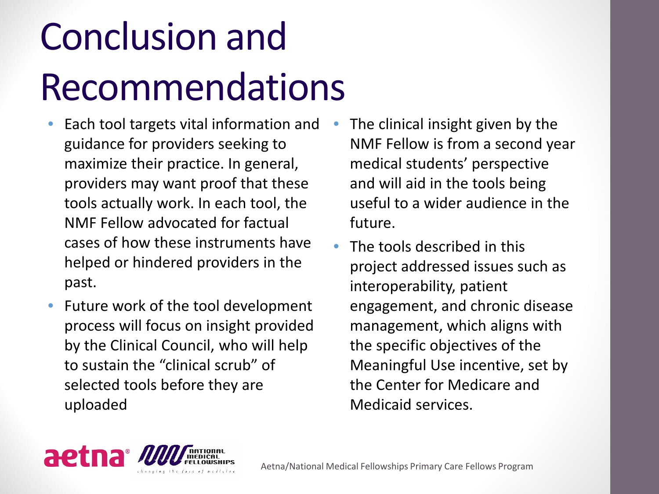# Conclusion and Recommendations

- Each tool targets vital information and guidance for providers seeking to maximize their practice. In general, providers may want proof that these tools actually work. In each tool, the NMF Fellow advocated for factual cases of how these instruments have helped or hindered providers in the past.
- Future work of the tool development process will focus on insight provided by the Clinical Council, who will help to sustain the "clinical scrub" of selected tools before they are uploaded
- The clinical insight given by the NMF Fellow is from a second year medical students' perspective and will aid in the tools being useful to a wider audience in the future.
- The tools described in this project addressed issues such as interoperability, patient engagement, and chronic disease management, which aligns with the specific objectives of the Meaningful Use incentive, set by the Center for Medicare and Medicaid services.

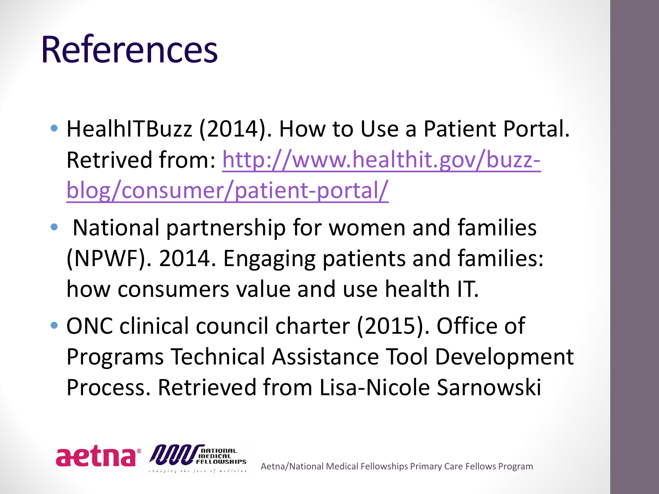# References

- HealhITBuzz (2014). How to Use a Patient Portal. Retrived [from: http://www.healthit.gov/buzz](http://www.healthit.gov/buzz-blog/consumer/patient-portal/)blog/consumer/patient-portal/
- National partnership for women and families (NPWF). 2014. Engaging patients and families: how consumers value and use health IT.
- ONC clinical council charter (2015). Office of Programs Technical Assistance Tool Development Process. Retrieved from Lisa-Nicole Sarnowski